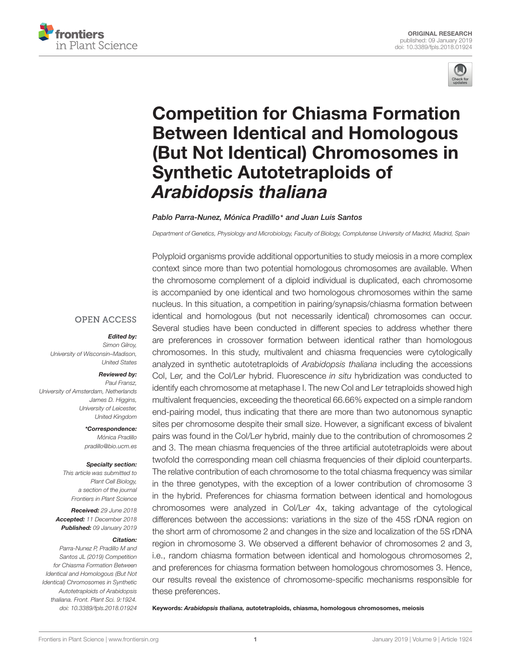



# Competition for Chiasma Formation Between Identical and Homologous [\(But Not Identical\) Chromosomes in](https://www.frontiersin.org/articles/10.3389/fpls.2018.01924/full) Synthetic Autotetraploids of Arabidopsis thaliana

#### [Pablo Parra-Nunez,](http://loop.frontiersin.org/people/622869/overview) [Mónica Pradillo](http://loop.frontiersin.org/people/115099/overview)\* and [Juan Luis Santos](http://loop.frontiersin.org/people/134641/overview)

Department of Genetics, Physiology and Microbiology, Faculty of Biology, Complutense University of Madrid, Madrid, Spain

Polyploid organisms provide additional opportunities to study meiosis in a more complex context since more than two potential homologous chromosomes are available. When the chromosome complement of a diploid individual is duplicated, each chromosome is accompanied by one identical and two homologous chromosomes within the same nucleus. In this situation, a competition in pairing/synapsis/chiasma formation between identical and homologous (but not necessarily identical) chromosomes can occur. Several studies have been conducted in different species to address whether there are preferences in crossover formation between identical rather than homologous chromosomes. In this study, multivalent and chiasma frequencies were cytologically analyzed in synthetic autotetraploids of Arabidopsis thaliana including the accessions Col, Ler, and the Col/Ler hybrid. Fluorescence in situ hybridization was conducted to identify each chromosome at metaphase I. The new Col and Ler tetraploids showed high multivalent frequencies, exceeding the theoretical 66.66% expected on a simple random end-pairing model, thus indicating that there are more than two autonomous synaptic sites per chromosome despite their small size. However, a significant excess of bivalent pairs was found in the Col/Ler hybrid, mainly due to the contribution of chromosomes 2 and 3. The mean chiasma frequencies of the three artificial autotetraploids were about twofold the corresponding mean cell chiasma frequencies of their diploid counterparts. The relative contribution of each chromosome to the total chiasma frequency was similar in the three genotypes, with the exception of a lower contribution of chromosome 3 in the hybrid. Preferences for chiasma formation between identical and homologous chromosomes were analyzed in Col/Ler 4x, taking advantage of the cytological differences between the accessions: variations in the size of the 45S rDNA region on the short arm of chromosome 2 and changes in the size and localization of the 5S rDNA region in chromosome 3. We observed a different behavior of chromosomes 2 and 3, i.e., random chiasma formation between identical and homologous chromosomes 2, and preferences for chiasma formation between homologous chromosomes 3. Hence, our results reveal the existence of chromosome-specific mechanisms responsible for these preferences.

Keywords: Arabidopsis thaliana, autotetraploids, chiasma, homologous chromosomes, meiosis

#### **OPEN ACCESS**

#### Edited by:

Simon Gilroy, University of Wisconsin–Madison, United States

#### Reviewed by:

Paul Fransz, University of Amsterdam, Netherlands James D. Higgins, University of Leicester, United Kingdom

> \*Correspondence: Mónica Pradillo pradillo@bio.ucm.es

#### Specialty section:

This article was submitted to Plant Cell Biology, a section of the journal Frontiers in Plant Science

Received: 29 June 2018 Accepted: 11 December 2018 Published: 09 January 2019

#### Citation:

Parra-Nunez P, Pradillo M and Santos JL (2019) Competition for Chiasma Formation Between Identical and Homologous (But Not Identical) Chromosomes in Synthetic Autotetraploids of Arabidopsis thaliana. Front. Plant Sci. 9:1924. doi: [10.3389/fpls.2018.01924](https://doi.org/10.3389/fpls.2018.01924)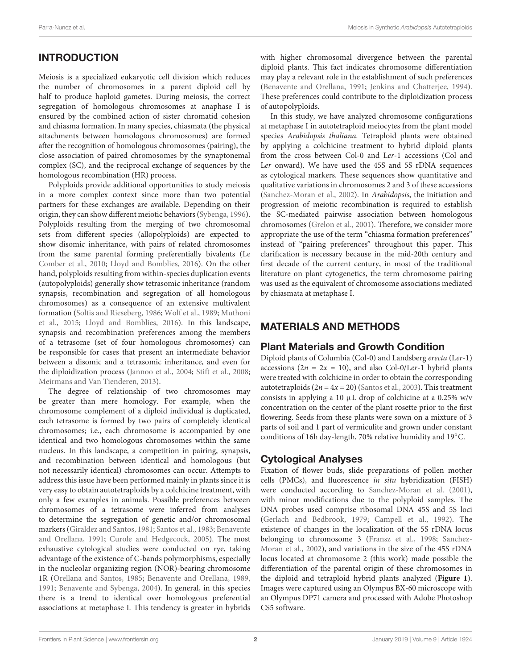# INTRODUCTION

Meiosis is a specialized eukaryotic cell division which reduces the number of chromosomes in a parent diploid cell by half to produce haploid gametes. During meiosis, the correct segregation of homologous chromosomes at anaphase I is ensured by the combined action of sister chromatid cohesion and chiasma formation. In many species, chiasmata (the physical attachments between homologous chromosomes) are formed after the recognition of homologous chromosomes (pairing), the close association of paired chromosomes by the synaptonemal complex (SC), and the reciprocal exchange of sequences by the homologous recombination (HR) process.

Polyploids provide additional opportunities to study meiosis in a more complex context since more than two potential partners for these exchanges are available. Depending on their origin, they can show different meiotic behaviors [\(Sybenga,](#page-7-0) [1996\)](#page-7-0). Polyploids resulting from the merging of two chromosomal sets from different species (allopolyploids) are expected to show disomic inheritance, with pairs of related chromosomes from the same parental forming preferentially bivalents [\(Le](#page-7-1) [Comber et al.,](#page-7-1) [2010;](#page-7-1) [Lloyd and Bomblies,](#page-7-2) [2016\)](#page-7-2). On the other hand, polyploids resulting from within-species duplication events (autopolyploids) generally show tetrasomic inheritance (random synapsis, recombination and segregation of all homologous chromosomes) as a consequence of an extensive multivalent formation [\(Soltis and Rieseberg,](#page-7-3) [1986;](#page-7-3) [Wolf et al.,](#page-7-4) [1989;](#page-7-4) [Muthoni](#page-7-5) [et al.,](#page-7-5) [2015;](#page-7-5) [Lloyd and Bomblies,](#page-7-2) [2016\)](#page-7-2). In this landscape, synapsis and recombination preferences among the members of a tetrasome (set of four homologous chromosomes) can be responsible for cases that present an intermediate behavior between a disomic and a tetrasomic inheritance, and even for the diploidization process [\(Jannoo et al.,](#page-7-6) [2004;](#page-7-6) [Stift et al.,](#page-7-7) [2008;](#page-7-7) [Meirmans and Van Tienderen,](#page-7-8) [2013\)](#page-7-8).

The degree of relationship of two chromosomes may be greater than mere homology. For example, when the chromosome complement of a diploid individual is duplicated, each tetrasome is formed by two pairs of completely identical chromosomes; i.e., each chromosome is accompanied by one identical and two homologous chromosomes within the same nucleus. In this landscape, a competition in pairing, synapsis, and recombination between identical and homologous (but not necessarily identical) chromosomes can occur. Attempts to address this issue have been performed mainly in plants since it is very easy to obtain autotetraploids by a colchicine treatment, with only a few examples in animals. Possible preferences between chromosomes of a tetrasome were inferred from analyses to determine the segregation of genetic and/or chromosomal markers [\(Giraldez and Santos,](#page-7-9) [1981;](#page-7-9) [Santos et al.,](#page-7-10) [1983;](#page-7-10) [Benavente](#page-6-0) [and Orellana,](#page-6-0) [1991;](#page-6-0) [Curole and Hedgecock,](#page-6-1) [2005\)](#page-6-1). The most exhaustive cytological studies were conducted on rye, taking advantage of the existence of C-bands polymorphisms, especially in the nucleolar organizing region (NOR)-bearing chromosome 1R [\(Orellana and Santos,](#page-7-11) [1985;](#page-7-11) [Benavente and Orellana,](#page-6-2) [1989,](#page-6-2) [1991;](#page-6-0) [Benavente and Sybenga,](#page-6-3) [2004\)](#page-6-3). In general, in this species there is a trend to identical over homologous preferential associations at metaphase I. This tendency is greater in hybrids with higher chromosomal divergence between the parental diploid plants. This fact indicates chromosome differentiation may play a relevant role in the establishment of such preferences [\(Benavente and Orellana,](#page-6-0) [1991;](#page-6-0) [Jenkins and Chatterjee,](#page-7-12) [1994\)](#page-7-12). These preferences could contribute to the diploidization process of autopolyploids.

In this study, we have analyzed chromosome configurations at metaphase I in autotetraploid meiocytes from the plant model species Arabidopsis thaliana. Tetraploid plants were obtained by applying a colchicine treatment to hybrid diploid plants from the cross between Col-0 and Ler-1 accessions (Col and Ler onward). We have used the 45S and 5S rDNA sequences as cytological markers. These sequences show quantitative and qualitative variations in chromosomes 2 and 3 of these accessions [\(Sanchez-Moran et al.,](#page-7-13) [2002\)](#page-7-13). In Arabidopsis, the initiation and progression of meiotic recombination is required to establish the SC-mediated pairwise association between homologous chromosomes [\(Grelon et al.,](#page-7-14) [2001\)](#page-7-14). Therefore, we consider more appropriate the use of the term "chiasma formation preferences" instead of "pairing preferences" throughout this paper. This clarification is necessary because in the mid-20th century and first decade of the current century, in most of the traditional literature on plant cytogenetics, the term chromosome pairing was used as the equivalent of chromosome associations mediated by chiasmata at metaphase I.

# MATERIALS AND METHODS

### Plant Materials and Growth Condition

Diploid plants of Columbia (Col-0) and Landsberg erecta (Ler-1) accessions ( $2n = 2x = 10$ ), and also Col-0/Ler-1 hybrid plants were treated with colchicine in order to obtain the corresponding autotetraploids  $(2n = 4x = 20)$  [\(Santos et al.,](#page-7-15) [2003\)](#page-7-15). This treatment consists in applying a 10 µL drop of colchicine at a 0.25% w/v concentration on the center of the plant rosette prior to the first flowering. Seeds from these plants were sown on a mixture of 3 parts of soil and 1 part of vermiculite and grown under constant conditions of 16h day-length, 70% relative humidity and 19◦C.

# Cytological Analyses

Fixation of flower buds, slide preparations of pollen mother cells (PMCs), and fluorescence in situ hybridization (FISH) were conducted according to [Sanchez-Moran et al.](#page-7-16) [\(2001\)](#page-7-16), with minor modifications due to the polyploid samples. The DNA probes used comprise ribosomal DNA 45S and 5S loci [\(Gerlach and Bedbrook,](#page-6-4) [1979;](#page-6-4) [Campell et al.,](#page-6-5) [1992\)](#page-6-5). The existence of changes in the localization of the 5S rDNA locus belonging to chromosome 3 [\(Fransz et al.,](#page-6-6) [1998;](#page-6-6) [Sanchez-](#page-7-13)[Moran et al.,](#page-7-13) [2002\)](#page-7-13), and variations in the size of the 45S rDNA locus located at chromosome 2 (this work) made possible the differentiation of the parental origin of these chromosomes in the diploid and tetraploid hybrid plants analyzed (**[Figure 1](#page-2-0)**). Images were captured using an Olympus BX-60 microscope with an Olympus DP71 camera and processed with Adobe Photoshop CS5 software.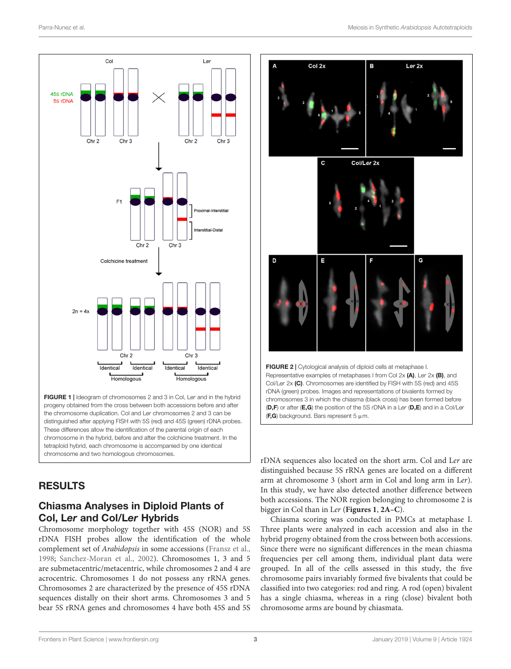

<span id="page-2-0"></span>FIGURE 1 | Ideogram of chromosomes 2 and 3 in Col, Ler and in the hybrid progeny obtained from the cross between both accessions before and after the chromosome duplication. Col and Ler chromosomes 2 and 3 can be distinguished after applying FISH with 5S (red) and 45S (green) rDNA probes. These differences allow the identification of the parental origin of each chromosome in the hybrid, before and after the colchicine treatment. In the tetraploid hybrid, each chromosome is accompanied by one identical chromosome and two homologous chromosomes.

### RESULTS

### Chiasma Analyses in Diploid Plants of Col, Ler and Col/Ler Hybrids

Chromosome morphology together with 45S (NOR) and 5S rDNA FISH probes allow the identification of the whole complement set of Arabidopsis in some accessions [\(Fransz et al.,](#page-6-6) [1998;](#page-6-6) [Sanchez-Moran et al.,](#page-7-13) [2002\)](#page-7-13). Chromosomes 1, 3 and 5 are submetacentric/metacentric, while chromosomes 2 and 4 are acrocentric. Chromosomes 1 do not possess any rRNA genes. Chromosomes 2 are characterized by the presence of 45S rDNA sequences distally on their short arms. Chromosomes 3 and 5 bear 5S rRNA genes and chromosomes 4 have both 45S and 5S



<span id="page-2-1"></span>rDNA sequences also located on the short arm. Col and Ler are distinguished because 5S rRNA genes are located on a different arm at chromosome 3 (short arm in Col and long arm in Ler). In this study, we have also detected another difference between both accessions. The NOR region belonging to chromosome 2 is bigger in Col than in Ler (**[Figures 1](#page-2-0)**, **[2A–C](#page-2-1)**).

Chiasma scoring was conducted in PMCs at metaphase I. Three plants were analyzed in each accession and also in the hybrid progeny obtained from the cross between both accessions. Since there were no significant differences in the mean chiasma frequencies per cell among them, individual plant data were grouped. In all of the cells assessed in this study, the five chromosome pairs invariably formed five bivalents that could be classified into two categories: rod and ring. A rod (open) bivalent has a single chiasma, whereas in a ring (close) bivalent both chromosome arms are bound by chiasmata.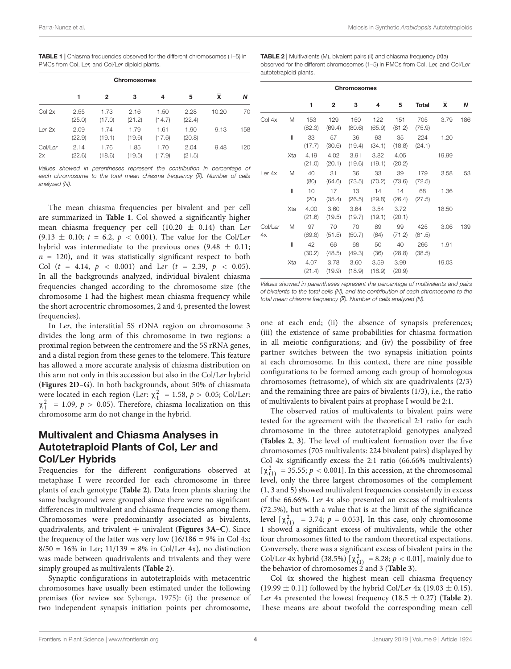<span id="page-3-0"></span>TABLE 1 | Chiasma frequencies observed for the different chromosomes (1–5) in PMCs from Col, Ler, and Col/Ler diploid plants.

|               | 1              | 2              | 3              | 4              | 5              | X     | N   |
|---------------|----------------|----------------|----------------|----------------|----------------|-------|-----|
| Col 2x        | 2.55<br>(25.0) | 1.73<br>(17.0) | 2.16<br>(21.2) | 1.50<br>(14.7) | 2.28<br>(22.4) | 10.20 | 70  |
| Ler 2x        | 2.09<br>(22.9) | 1.74<br>(19.1) | 1.79<br>(19.6) | 1.61<br>(17.6) | 1.90<br>(20.8) | 9.13  | 158 |
| Col/Ler<br>2x | 2.14<br>(22.6) | 1.76<br>(18.6) | 1.85<br>(19.5) | 1.70<br>(17.9) | 2.04<br>(21.5) | 9.48  | 120 |

Values showed in parentheses represent the contribution in percentage of each chromosome to the total mean chiasma frequency  $(\overline{X})$ . Number of cells analyzed (N).

The mean chiasma frequencies per bivalent and per cell are summarized in **[Table 1](#page-3-0)**. Col showed a significantly higher mean chiasma frequency per cell (10.20  $\pm$  0.14) than Ler  $(9.13 \pm 0.10; t = 6.2, p < 0.001)$ . The value for the Col/Ler hybrid was intermediate to the previous ones  $(9.48 \pm 0.11)$ ;  $n = 120$ , and it was statistically significant respect to both Col ( $t = 4.14$ ,  $p < 0.001$ ) and Ler ( $t = 2.39$ ,  $p < 0.05$ ). In all the backgrounds analyzed, individual bivalent chiasma frequencies changed according to the chromosome size (the chromosome 1 had the highest mean chiasma frequency while the short acrocentric chromosomes, 2 and 4, presented the lowest frequencies).

In Ler, the interstitial 5S rDNA region on chromosome 3 divides the long arm of this chromosome in two regions: a proximal region between the centromere and the 5S rRNA genes, and a distal region from these genes to the telomere. This feature has allowed a more accurate analysis of chiasma distribution on this arm not only in this accession but also in the Col/Ler hybrid (**[Figures 2D–G](#page-2-1)**). In both backgrounds, about 50% of chiasmata were located in each region (Ler:  $\chi_1^2 = 1.58$ ,  $p > 0.05$ ; Col/Ler:  $\chi_1^2$  = 1.09,  $p > 0.05$ ). Therefore, chiasma localization on this chromosome arm do not change in the hybrid.

#### Multivalent and Chiasma Analyses in Autotetraploid Plants of Col, Ler and Col/Ler Hybrids

Frequencies for the different configurations observed at metaphase I were recorded for each chromosome in three plants of each genotype (**[Table 2](#page-3-1)**). Data from plants sharing the same background were grouped since there were no significant differences in multivalent and chiasma frequencies among them. Chromosomes were predominantly associated as bivalents, quadrivalents, and trivalent + univalent (**[Figures 3A–C](#page-4-0)**). Since the frequency of the latter was very low  $(16/186 = 9\% \text{ in Col } 4x;$  $8/50 = 16\%$  in Ler;  $11/139 = 8\%$  in Col/Ler 4x), no distinction was made between quadrivalents and trivalents and they were simply grouped as multivalents (**[Table 2](#page-3-1)**).

Synaptic configurations in autotetraploids with metacentric chromosomes have usually been estimated under the following premises (for review see [Sybenga,](#page-7-17) [1975\)](#page-7-17): (i) the presence of two independent synapsis initiation points per chromosome,

<span id="page-3-1"></span>TABLE 2 | Multivalents (M), bivalent pairs (II) and chiasma frequency (Xta) observed for the different chromosomes (1–5) in PMCs from Col, Ler, and Col/Ler autotetraploid plants.

|               |              |                | <b>Chromosomes</b> |                |                |                |               |           |     |
|---------------|--------------|----------------|--------------------|----------------|----------------|----------------|---------------|-----------|-----|
|               |              | 1              | $\mathbf{2}$       | 3              | 4              | 5              | Total         | $\bar{x}$ | N   |
| Col 4x        | M            | 153<br>(82.3)  | 129<br>(69.4)      | 150<br>(80.6)  | 122<br>(65.9)  | 151<br>(81.2)  | 705<br>(75.9) | 3.79      | 186 |
|               | $\mathbf{I}$ | 33<br>(17.7)   | 57<br>(30.6)       | 36<br>(19.4)   | 63<br>(34.1)   | 35<br>(18.8)   | 224<br>(24.1) | 1.20      |     |
|               | Xta          | 4.19<br>(21.0) | 4.02<br>(20.1)     | 3.91<br>(19.6) | 3.82<br>(19.1) | 4.05<br>(20.2) |               | 19.99     |     |
| Ler 4x        | M            | 40<br>(80)     | 31<br>(64.6)       | 36<br>(73.5)   | 33<br>(70.2)   | 39<br>(73.6)   | 179<br>(72.5) | 3.58      | 53  |
|               | $\mathbf{I}$ | 10<br>(20)     | 17<br>(35.4)       | 13<br>(26.5)   | 14<br>(29.8)   | 14<br>(26.4)   | 68<br>(27.5)  | 1.36      |     |
|               | Xta          | 4.00<br>(21.6) | 3.60<br>(19.5)     | 3.64<br>(19.7) | 3.54<br>(19.1) | 3.72<br>(20.1) |               | 18.50     |     |
| Col/Ler<br>4x | Μ            | 97<br>(69.8)   | 70<br>(51.5)       | 70<br>(50.7)   | 89<br>(64)     | 99<br>(71.2)   | 425<br>(61.5) | 3.06      | 139 |
|               | Ш            | 42<br>(30.2)   | 66<br>(48.5)       | 68<br>(49.3)   | 50<br>(36)     | 40<br>(28.8)   | 266<br>(38.5) | 1.91      |     |
|               | Xta          | 4.07<br>(21.4) | 3.78<br>(19.9)     | 3.60<br>(18.9) | 3.59<br>(18.9) | 3.99<br>(20.9) |               | 19.03     |     |

Values showed in parentheses represent the percentage of multivalents and pairs of bivalents to the total cells (N), and the contribution of each chromosome to the total mean chiasma frequency  $\bar{X}$ ). Number of cells analyzed (N).

one at each end; (ii) the absence of synapsis preferences; (iii) the existence of same probabilities for chiasma formation in all meiotic configurations; and (iv) the possibility of free partner switches between the two synapsis initiation points at each chromosome. In this context, there are nine possible configurations to be formed among each group of homologous chromosomes (tetrasome), of which six are quadrivalents (2/3) and the remaining three are pairs of bivalents (1/3), i.e., the ratio of multivalents to bivalent pairs at prophase I would be 2:1.

The observed ratios of multivalents to bivalent pairs were tested for the agreement with the theoretical 2:1 ratio for each chromosome in the three autotetraploid genotypes analyzed (**[Tables 2](#page-3-1)**, **[3](#page-5-0)**). The level of multivalent formation over the five chromosomes (705 multivalents: 224 bivalent pairs) displayed by Col 4x significantly excess the 2:1 ratio (66.66% multivalents)  $[\chi^2_{(1)} = 35.55; p < 0.001]$ . In this accession, at the chromosomal level, only the three largest chromosomes of the complement (1, 3 and 5) showed multivalent frequencies consistently in excess of the 66.66%. Ler 4x also presented an excess of multivalents (72.5%), but with a value that is at the limit of the significance level  $[\chi^2_{(1)} = 3.74; p = 0.053]$ . In this case, only chromosome 1 showed a significant excess of multivalents, while the other four chromosomes fitted to the random theoretical expectations. Conversely, there was a significant excess of bivalent pairs in the Col/Ler 4x hybrid (38.5%)  $[\chi^2_{(1)} = 8.28; p < 0.01]$ , mainly due to the behavior of chromosomes 2 and 3 (**[Table 3](#page-5-0)**).

Col 4x showed the highest mean cell chiasma frequency  $(19.99 \pm 0.11)$  followed by the hybrid Col/Ler 4x (19.03  $\pm$  0.15). Ler 4x presented the lowest frequency  $(18.5 \pm 0.27)$  ([Table 2](#page-3-1)). These means are about twofold the corresponding mean cell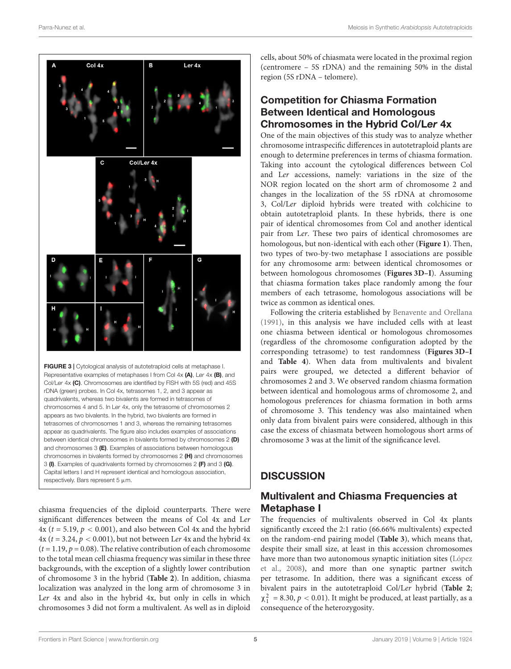

<span id="page-4-0"></span>Col/Ler 4x (C). Chromosomes are identified by FISH with 5S (red) and 45S rDNA (green) probes. In Col 4x, tetrasomes 1, 2, and 3 appear as quadrivalents, whereas two bivalents are formed in tetrasomes of chromosomes 4 and 5. In Ler 4x, only the tetrasome of chromosomes 2 appears as two bivalents. In the hybrid, two bivalents are formed in tetrasomes of chromosomes 1 and 3, whereas the remaining tetrasomes appear as quadrivalents. The figure also includes examples of associations between identical chromosomes in bivalents formed by chromosomes 2 (D) and chromosomes 3 (E). Examples of associations between homologous chromosomes in bivalents formed by chromosomes 2 (H) and chromosomes 3 (I). Examples of quadrivalents formed by chromosomes 2 (F) and 3 (G). Capital letters I and H represent identical and homologous association, respectively. Bars represent  $5 \mu m$ .

chiasma frequencies of the diploid counterparts. There were significant differences between the means of Col 4x and Ler  $4x$  ( $t = 5.19$ ,  $p < 0.001$ ), and also between Col 4x and the hybrid  $4x$  ( $t = 3.24$ ,  $p < 0.001$ ), but not between Ler 4x and the hybrid 4x  $(t = 1.19, p = 0.08)$ . The relative contribution of each chromosome to the total mean cell chiasma frequency was similar in these three backgrounds, with the exception of a slightly lower contribution of chromosome 3 in the hybrid (**[Table 2](#page-3-1)**). In addition, chiasma localization was analyzed in the long arm of chromosome 3 in Ler 4x and also in the hybrid 4x, but only in cells in which chromosomes 3 did not form a multivalent. As well as in diploid

cells, about 50% of chiasmata were located in the proximal region (centromere – 5S rDNA) and the remaining 50% in the distal region (5S rDNA – telomere).

### Competition for Chiasma Formation Between Identical and Homologous Chromosomes in the Hybrid Col/Ler 4x

One of the main objectives of this study was to analyze whether chromosome intraspecific differences in autotetraploid plants are enough to determine preferences in terms of chiasma formation. Taking into account the cytological differences between Col and Ler accessions, namely: variations in the size of the NOR region located on the short arm of chromosome 2 and changes in the localization of the 5S rDNA at chromosome 3, Col/Ler diploid hybrids were treated with colchicine to obtain autotetraploid plants. In these hybrids, there is one pair of identical chromosomes from Col and another identical pair from Ler. These two pairs of identical chromosomes are homologous, but non-identical with each other (**[Figure 1](#page-2-0)**). Then, two types of two-by-two metaphase I associations are possible for any chromosome arm: between identical chromosomes or between homologous chromosomes (**[Figures 3D–I](#page-4-0)**). Assuming that chiasma formation takes place randomly among the four members of each tetrasome, homologous associations will be twice as common as identical ones.

Following the criteria established by [Benavente and Orellana](#page-6-0) [\(1991\)](#page-6-0), in this analysis we have included cells with at least one chiasma between identical or homologous chromosomes (regardless of the chromosome configuration adopted by the corresponding tetrasome) to test randomness (**[Figures 3D–I](#page-4-0)** and **[Table 4](#page-5-1)**). When data from multivalents and bivalent pairs were grouped, we detected a different behavior of chromosomes 2 and 3. We observed random chiasma formation between identical and homologous arms of chromosome 2, and homologous preferences for chiasma formation in both arms of chromosome 3. This tendency was also maintained when only data from bivalent pairs were considered, although in this case the excess of chiasmata between homologous short arms of chromosome 3 was at the limit of the significance level.

# **DISCUSSION**

# Multivalent and Chiasma Frequencies at Metaphase I

The frequencies of multivalents observed in Col 4x plants significantly exceed the 2:1 ratio (66.66% multivalents) expected on the random-end pairing model (**[Table 3](#page-5-0)**), which means that, despite their small size, at least in this accession chromosomes have more than two autonomous synaptic initiation sites [\(López](#page-7-18) [et al.,](#page-7-18) [2008\)](#page-7-18), and more than one synaptic partner switch per tetrasome. In addition, there was a significant excess of bivalent pairs in the autotetraploid Col/Ler hybrid (**[Table 2](#page-3-1)**;  $\chi_1^2$  = 8.30,  $p < 0.01$ ). It might be produced, at least partially, as a consequence of the heterozygosity.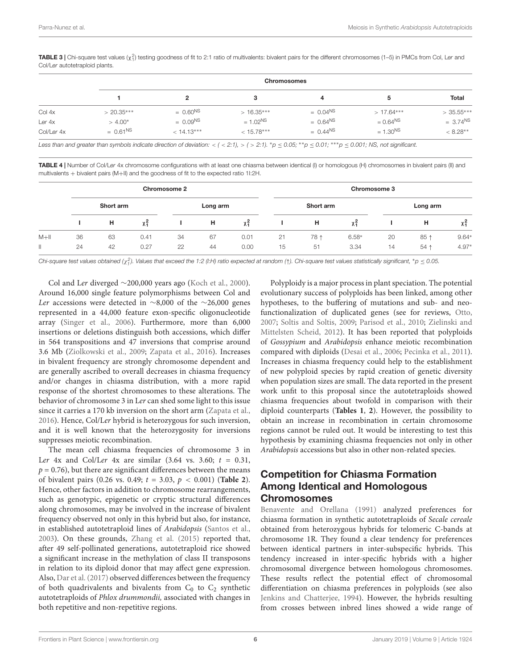<span id="page-5-0"></span>**TABLE 3** | Chi-square test values (χ $^2$ ) testing goodness of fit to 2:1 ratio of multivalents: bivalent pairs for the different chromosomes (1–5) in PMCs from Col, Ler and Col/Ler autotetraploid plants.

|            |               | <b>Chromosomes</b> |              |               |             |               |  |  |  |  |
|------------|---------------|--------------------|--------------|---------------|-------------|---------------|--|--|--|--|
|            |               | $\mathbf{2}$       | 3            | 4             | 5           | <b>Total</b>  |  |  |  |  |
| Col 4x     | $> 20.35***$  | $= 0.60^{NS}$      | $>16.35***$  | $= 0.04^{NS}$ | $>17.64***$ | $>35.55***$   |  |  |  |  |
| Ler 4x     | $> 4.00*$     | $= 0.09NS$         | $= 1.02NS$   | $= 0.64^{NS}$ | $= 0.64NS$  | $= 3.74^{NS}$ |  |  |  |  |
| Col/Ler 4x | $= 0.61^{NS}$ | $< 14.13***$       | $< 15.78***$ | $= 0.44^{NS}$ | $= 1.30NS$  | $< 8.28**$    |  |  |  |  |

Less than and greater than symbols indicate direction of deviation: < ( < 2:1), > ( > 2:1). \* $p \le 0.05$ ; \*\* $p \le 0.01$ ; \*\*\* $p \le 0.001$ ; NS, not significant.

<span id="page-5-1"></span>TABLE 4 | Number of Col/Ler 4x chromosome configurations with at least one chiasma between identical (I) or homologous (H) chromosomes in bivalent pairs (II) and multivalents + bivalent pairs (M+II) and the goodness of fit to the expected ratio 1I:2H.

|         | <b>Chromosome 2</b> |    |      |    |          |      | Chromosome 3 |      |         |          |      |         |
|---------|---------------------|----|------|----|----------|------|--------------|------|---------|----------|------|---------|
|         | Short arm           |    |      |    | Long arm |      | Short arm    |      |         | Long arm |      |         |
|         |                     | н  | χş   |    | н        | χş   |              | н    | χş      |          | н    | χş      |
| $M + I$ | 36                  | 63 | 0.41 | 34 | 67       | 0.01 | 21           | 78 ↑ | $6.58*$ | 20       | 85 ↑ | $9.64*$ |
| Ш       | 24                  | 42 | 0.27 | 22 | 44       | 0.00 | 15           | 51   | 3.34    | 14       | 54 ↑ | $4.97*$ |

Chi-square test values obtained (χ $_1^2$ ). Values that exceed the 1:2 (I:H) ratio expected at random (↑). Chi-square test values statistically significant, \*p  $\leq$  0.05.

Col and Ler diverged ∼200,000 years ago [\(Koch et al.,](#page-7-19) [2000\)](#page-7-19). Around 16,000 single feature polymorphisms between Col and Ler accessions were detected in ∼8,000 of the ∼26,000 genes represented in a 44,000 feature exon-specific oligonucleotide array [\(Singer et al.,](#page-7-20) [2006\)](#page-7-20). Furthermore, more than 6,000 insertions or deletions distinguish both accessions, which differ in 564 transpositions and 47 inversions that comprise around 3.6 Mb [\(Ziolkowski et al.,](#page-7-21) [2009;](#page-7-21) [Zapata et al.,](#page-7-22) [2016\)](#page-7-22). Increases in bivalent frequency are strongly chromosome dependent and are generally ascribed to overall decreases in chiasma frequency and/or changes in chiasma distribution, with a more rapid response of the shortest chromosomes to these alterations. The behavior of chromosome 3 in Ler can shed some light to this issue since it carries a 170 kb inversion on the short arm [\(Zapata et al.,](#page-7-22) [2016\)](#page-7-22). Hence, Col/Ler hybrid is heterozygous for such inversion, and it is well known that the heterozygosity for inversions suppresses meiotic recombination.

The mean cell chiasma frequencies of chromosome 3 in Ler 4x and Col/Ler 4x are similar  $(3.64 \text{ vs. } 3.60; t = 0.31,$  $p = 0.76$ , but there are significant differences between the means of bivalent pairs (0.26 vs. 0.49; t = 3.03, p < 0.001) (**[Table 2](#page-3-1)**). Hence, other factors in addition to chromosome rearrangements, such as genotypic, epigenetic or cryptic structural differences along chromosomes, may be involved in the increase of bivalent frequency observed not only in this hybrid but also, for instance, in established autotetraploid lines of Arabidopsis [\(Santos et al.,](#page-7-15) [2003\)](#page-7-15). On these grounds, [Zhang et al.](#page-7-23) [\(2015\)](#page-7-23) reported that, after 49 self-pollinated generations, autotetraploid rice showed a significant increase in the methylation of class II transposons in relation to its diploid donor that may affect gene expression. Also, [Dar et al.](#page-6-7) [\(2017\)](#page-6-7) observed differences between the frequency of both quadrivalents and bivalents from  $C_0$  to  $C_2$  synthetic autotetraploids of Phlox drummondii, associated with changes in both repetitive and non-repetitive regions.

Polyploidy is a major process in plant speciation. The potential evolutionary success of polyploids has been linked, among other hypotheses, to the buffering of mutations and sub- and neofunctionalization of duplicated genes (see for reviews, [Otto,](#page-7-24) [2007;](#page-7-24) [Soltis and Soltis,](#page-7-25) [2009;](#page-7-25) [Parisod et al.,](#page-7-26) [2010;](#page-7-26) [Zielinski and](#page-7-27) [Mittelsten Scheid,](#page-7-27) [2012\)](#page-7-27). It has been reported that polyploids of Gossypium and Arabidopsis enhance meiotic recombination compared with diploids [\(Desai et al.,](#page-6-8) [2006;](#page-6-8) [Pecinka et al.,](#page-7-28) [2011\)](#page-7-28). Increases in chiasma frequency could help to the establishment of new polyploid species by rapid creation of genetic diversity when population sizes are small. The data reported in the present work unfit to this proposal since the autotetraploids showed chiasma frequencies about twofold in comparison with their diploid counterparts (**[Tables 1](#page-3-0)**, **[2](#page-3-1)**). However, the possibility to obtain an increase in recombination in certain chromosome regions cannot be ruled out. It would be interesting to test this hypothesis by examining chiasma frequencies not only in other Arabidopsis accessions but also in other non-related species.

#### Competition for Chiasma Formation Among Identical and Homologous **Chromosomes**

[Benavente and Orellana](#page-6-0) [\(1991\)](#page-6-0) analyzed preferences for chiasma formation in synthetic autotetraploids of Secale cereale obtained from heterozygous hybrids for telomeric C-bands at chromosome 1R. They found a clear tendency for preferences between identical partners in inter-subspecific hybrids. This tendency increased in inter-specific hybrids with a higher chromosomal divergence between homologous chromosomes. These results reflect the potential effect of chromosomal differentiation on chiasma preferences in polyploids (see also [Jenkins and Chatterjee,](#page-7-12) [1994\)](#page-7-12). However, the hybrids resulting from crosses between inbred lines showed a wide range of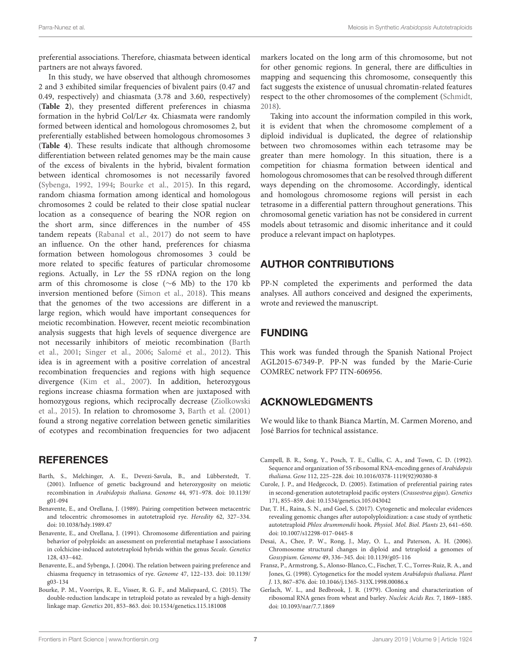preferential associations. Therefore, chiasmata between identical partners are not always favored.

In this study, we have observed that although chromosomes 2 and 3 exhibited similar frequencies of bivalent pairs (0.47 and 0.49, respectively) and chiasmata (3.78 and 3.60, respectively) (**[Table 2](#page-3-1)**), they presented different preferences in chiasma formation in the hybrid Col/Ler 4x. Chiasmata were randomly formed between identical and homologous chromosomes 2, but preferentially established between homologous chromosomes 3 (**[Table 4](#page-5-1)**). These results indicate that although chromosome differentiation between related genomes may be the main cause of the excess of bivalents in the hybrid, bivalent formation between identical chromosomes is not necessarily favored [\(Sybenga,](#page-7-29) [1992,](#page-7-29) [1994;](#page-7-30) [Bourke et al.,](#page-6-9) [2015\)](#page-6-9). In this regard, random chiasma formation among identical and homologous chromosomes 2 could be related to their close spatial nuclear location as a consequence of bearing the NOR region on the short arm, since differences in the number of 45S tandem repeats [\(Rabanal et al.,](#page-7-31) [2017\)](#page-7-31) do not seem to have an influence. On the other hand, preferences for chiasma formation between homologous chromosomes 3 could be more related to specific features of particular chromosome regions. Actually, in Ler the 5S rDNA region on the long arm of this chromosome is close (∼6 Mb) to the 170 kb inversion mentioned before [\(Simon et al.,](#page-7-32) [2018\)](#page-7-32). This means that the genomes of the two accessions are different in a large region, which would have important consequences for meiotic recombination. However, recent meiotic recombination analysis suggests that high levels of sequence divergence are not necessarily inhibitors of meiotic recombination [\(Barth](#page-6-10) [et al.,](#page-6-10) [2001;](#page-6-10) [Singer et al.,](#page-7-20) [2006;](#page-7-20) [Salomé et al.,](#page-7-33) [2012\)](#page-7-33). This idea is in agreement with a positive correlation of ancestral recombination frequencies and regions with high sequence divergence [\(Kim et al.,](#page-7-34) [2007\)](#page-7-34). In addition, heterozygous regions increase chiasma formation when are juxtaposed with homozygous regions, which reciprocally decrease [\(Ziolkowski](#page-7-35) [et al.,](#page-7-35) [2015\)](#page-7-35). In relation to chromosome 3, [Barth et al.](#page-6-10) [\(2001\)](#page-6-10) found a strong negative correlation between genetic similarities of ecotypes and recombination frequencies for two adjacent

### **REFERENCES**

- <span id="page-6-10"></span>Barth, S., Melchinger, A. E., Devezi-Savula, B., and Lübberstedt, T. (2001). Influence of genetic background and heterozygosity on meiotic recombination in Arabidopsis thaliana. Genome 44, 971–978. [doi: 10.1139/](https://doi.org/10.1139/g01-094) [g01-094](https://doi.org/10.1139/g01-094)
- <span id="page-6-2"></span>Benavente, E., and Orellana, J. (1989). Pairing competition between metacentric and telocentric chromosomes in autotetraploid rye. Heredity 62, 327–334. [doi: 10.1038/hdy.1989.47](https://doi.org/10.1038/hdy.1989.47)
- <span id="page-6-0"></span>Benavente, E., and Orellana, J. (1991). Chromosome differentiation and pairing behavior of polyploids: an assessment on preferential metaphase I associations in colchicine-induced autotetraploid hybrids within the genus Secale. Genetics 128, 433–442.
- <span id="page-6-3"></span>Benavente, E., and Sybenga, J. (2004). The relation between pairing preference and chiasma frequency in tetrasomics of rye. Genome 47, 122–133. [doi: 10.1139/](https://doi.org/10.1139/g03-134) [g03-134](https://doi.org/10.1139/g03-134)
- <span id="page-6-9"></span>Bourke, P. M., Voorrips, R. E., Visser, R. G. F., and Maliepaard, C. (2015). The double-reduction landscape in tetraploid potato as revealed by a high-density linkage map. Genetics 201, 853–863. [doi: 10.1534/genetics.115.181008](https://doi.org/10.1534/genetics.115.181008)

markers located on the long arm of this chromosome, but not for other genomic regions. In general, there are difficulties in mapping and sequencing this chromosome, consequently this fact suggests the existence of unusual chromatin-related features respect to the other chromosomes of the complement [\(Schmidt,](#page-7-36) [2018\)](#page-7-36).

Taking into account the information compiled in this work, it is evident that when the chromosome complement of a diploid individual is duplicated, the degree of relationship between two chromosomes within each tetrasome may be greater than mere homology. In this situation, there is a competition for chiasma formation between identical and homologous chromosomes that can be resolved through different ways depending on the chromosome. Accordingly, identical and homologous chromosome regions will persist in each tetrasome in a differential pattern throughout generations. This chromosomal genetic variation has not be considered in current models about tetrasomic and disomic inheritance and it could produce a relevant impact on haplotypes.

### AUTHOR CONTRIBUTIONS

PP-N completed the experiments and performed the data analyses. All authors conceived and designed the experiments, wrote and reviewed the manuscript.

# FUNDING

This work was funded through the Spanish National Project AGL2015-67349-P. PP-N was funded by the Marie-Curie COMREC network FP7 ITN-606956.

# ACKNOWLEDGMENTS

We would like to thank Bianca Martín, M. Carmen Moreno, and José Barrios for technical assistance.

- <span id="page-6-5"></span>Campell, B. R., Song, Y., Posch, T. E., Cullis, C. A., and Town, C. D. (1992). Sequence and organization of 5S ribosomal RNA-encoding genes of Arabidopsis thaliana. Gene 112, 225–228. [doi: 10.1016/0378-1119\(92\)90380-8](https://doi.org/10.1016/0378-1119(92)90380-8)
- <span id="page-6-1"></span>Curole, J. P., and Hedgecock, D. (2005). Estimation of preferential pairing rates in second-generation autotetraploid pacific oysters (Crassostrea gigas). Genetics 171, 855–859. [doi: 10.1534/genetics.105.043042](https://doi.org/10.1534/genetics.105.043042)
- <span id="page-6-7"></span>Dar, T. H., Raina, S. N., and Goel, S. (2017). Cytogenetic and molecular evidences revealing genomic changes after autopolyploidization: a case study of synthetic autotetraploid Phlox drummondii hook. Physiol. Mol. Biol. Plants 23, 641–650. [doi: 10.1007/s12298-017-0445-8](https://doi.org/10.1007/s12298-017-0445-8)
- <span id="page-6-8"></span>Desai, A., Chee, P. W., Rong, J., May, O. L., and Paterson, A. H. (2006). Chromosome structural changes in diploid and tetraploid a genomes of Gossypium. Genome 49, 336–345. [doi: 10.1139/g05-116](https://doi.org/10.1139/g05-116)
- <span id="page-6-6"></span>Fransz, P., Armstrong, S., Alonso-Blanco, C., Fischer, T. C., Torres-Ruiz, R. A., and Jones, G. (1998). Cytogenetics for the model system Arabidopsis thaliana. Plant J. 13, 867–876. [doi: 10.1046/j.1365-313X.1998.00086.x](https://doi.org/10.1046/j.1365-313X.1998.00086.x)
- <span id="page-6-4"></span>Gerlach, W. L., and Bedbrook, J. R. (1979). Cloning and characterization of ribosomal RNA genes from wheat and barley. Nucleic Acids Res. 7, 1869–1885. [doi: 10.1093/nar/7.7.1869](https://doi.org/10.1093/nar/7.7.1869)